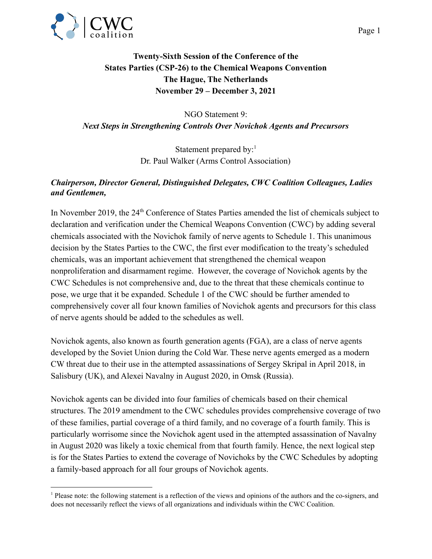

NGO Statement 9: *Next Steps in Strengthening Controls Over Novichok Agents and Precursors*

> Statement prepared by: $<sup>1</sup>$ </sup> Dr. Paul Walker (Arms Control Association)

## *Chairperson, Director General, Distinguished Delegates, CWC Coalition Colleagues, Ladies and Gentlemen,*

In November 2019, the 24<sup>th</sup> Conference of States Parties amended the list of chemicals subject to declaration and verification under the Chemical Weapons Convention (CWC) by adding several chemicals associated with the Novichok family of nerve agents to Schedule 1. This unanimous decision by the States Parties to the CWC, the first ever modification to the treaty's scheduled chemicals, was an important achievement that strengthened the chemical weapon nonproliferation and disarmament regime. However, the coverage of Novichok agents by the CWC Schedules is not comprehensive and, due to the threat that these chemicals continue to pose, we urge that it be expanded. Schedule 1 of the CWC should be further amended to comprehensively cover all four known families of Novichok agents and precursors for this class of nerve agents should be added to the schedules as well.

Novichok agents, also known as fourth generation agents (FGA), are a class of nerve agents developed by the Soviet Union during the Cold War. These nerve agents emerged as a modern CW threat due to their use in the attempted assassinations of Sergey Skripal in April 2018, in Salisbury (UK), and Alexei Navalny in August 2020, in Omsk (Russia).

Novichok agents can be divided into four families of chemicals based on their chemical structures. The 2019 amendment to the CWC schedules provides comprehensive coverage of two of these families, partial coverage of a third family, and no coverage of a fourth family. This is particularly worrisome since the Novichok agent used in the attempted assassination of Navalny in August 2020 was likely a toxic chemical from that fourth family. Hence, the next logical step is for the States Parties to extend the coverage of Novichoks by the CWC Schedules by adopting a family-based approach for all four groups of Novichok agents.

<sup>1</sup> Please note: the following statement is a reflection of the views and opinions of the authors and the co-signers, and does not necessarily reflect the views of all organizations and individuals within the CWC Coalition.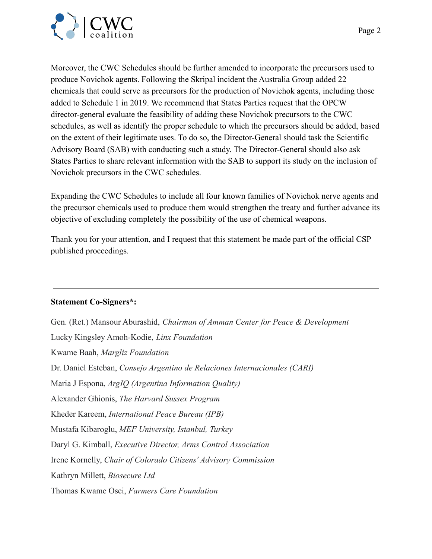

Moreover, the CWC Schedules should be further amended to incorporate the precursors used to produce Novichok agents. Following the Skripal incident the Australia Group added 22 chemicals that could serve as precursors for the production of Novichok agents, including those added to Schedule 1 in 2019. We recommend that States Parties request that the OPCW director-general evaluate the feasibility of adding these Novichok precursors to the CWC schedules, as well as identify the proper schedule to which the precursors should be added, based on the extent of their legitimate uses. To do so, the Director-General should task the Scientific Advisory Board (SAB) with conducting such a study. The Director-General should also ask States Parties to share relevant information with the SAB to support its study on the inclusion of Novichok precursors in the CWC schedules.

Expanding the CWC Schedules to include all four known families of Novichok nerve agents and the precursor chemicals used to produce them would strengthen the treaty and further advance its objective of excluding completely the possibility of the use of chemical weapons.

Thank you for your attention, and I request that this statement be made part of the official CSP published proceedings.

## **Statement Co-Signers\*:**

Gen. (Ret.) Mansour Aburashid, *Chairman of Amman Center for Peace & Development* Lucky Kingsley Amoh-Kodie, *Linx Foundation* Kwame Baah, *Margliz Foundation* Dr. Daniel Esteban, *Consejo Argentino de Relaciones Internacionales (CARI)* Maria J Espona, *ArgIQ (Argentina Information Quality)* Alexander Ghionis, *The Harvard Sussex Program* Kheder Kareem, *International Peace Bureau (IPB)* Mustafa Kibaroglu, *MEF University, Istanbul, Turkey* Daryl G. Kimball, *Executive Director, Arms Control Association* Irene Kornelly, *Chair of Colorado Citizens' Advisory Commission* Kathryn Millett, *Biosecure Ltd* Thomas Kwame Osei, *Farmers Care Foundation*